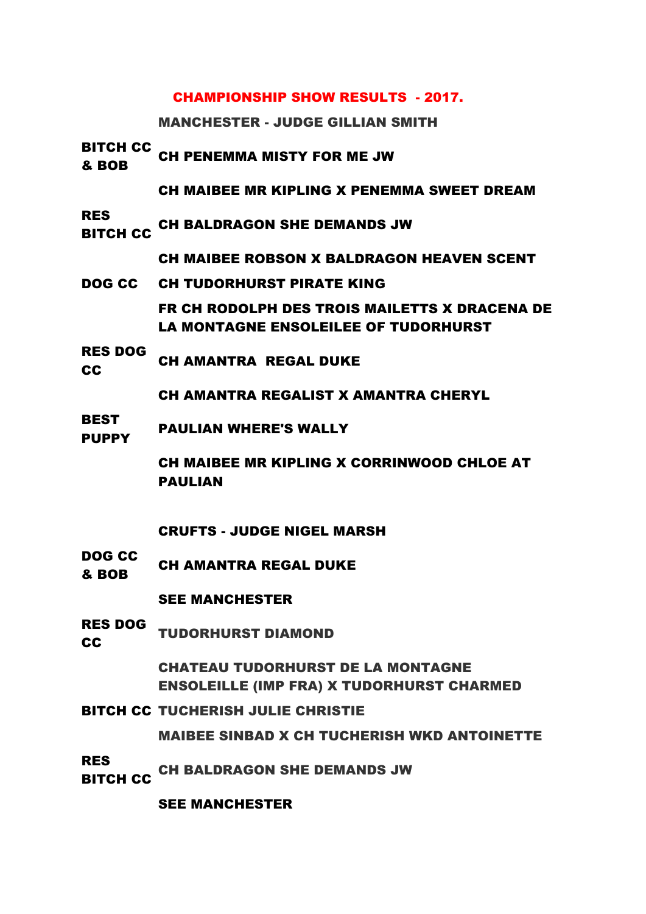#### CHAMPIONSHIP SHOW RESULTS - 2017.

MANCHESTER - JUDGE GILLIAN SMITH

BITCH CC **EXECUTE CH PENEMMA MISTY FOR ME JW**<br>& BOB

CH MAIBEE MR KIPLING X PENEMMA SWEET DREAM

RES ..\_\_<br>BITCH CC CH BALDRAGON SHE DEMANDS JW

CH MAIBEE ROBSON X BALDRAGON HEAVEN SCENT

- DOG CC CH TUDORHURST PIRATE KING FR CH RODOLPH DES TROIS MAILETTS X DRACENA DE LA MONTAGNE ENSOLEILEE OF TUDORHURST
- RES DOG CH AMANTRA REGAL DUKE

CH AMANTRA REGALIST X AMANTRA CHERYL

BEST PUPPY PAULIAN WHERE'S WALLY

> CH MAIBEE MR KIPLING X CORRINWOOD CHLOE AT PAULIAN

### CRUFTS - JUDGE NIGEL MARSH

DOG CC **BOB** CH AMANTRA REGAL DUKE

### SEE MANCHESTER

RES DOG RES DUG TUDORHURST DIAMOND

CHATEAU TUDORHURST DE LA MONTAGNE ENSOLEILLE (IMP FRA) X TUDORHURST CHARMED

BITCH CC TUCHERISH JULIE CHRISTIE

MAIBEE SINBAD X CH TUCHERISH WKD ANTOINETTE

RES

- ..\_\_<br>BITCH CC CH BALDRAGON SHE DEMANDS JW
	-

SEE MANCHESTER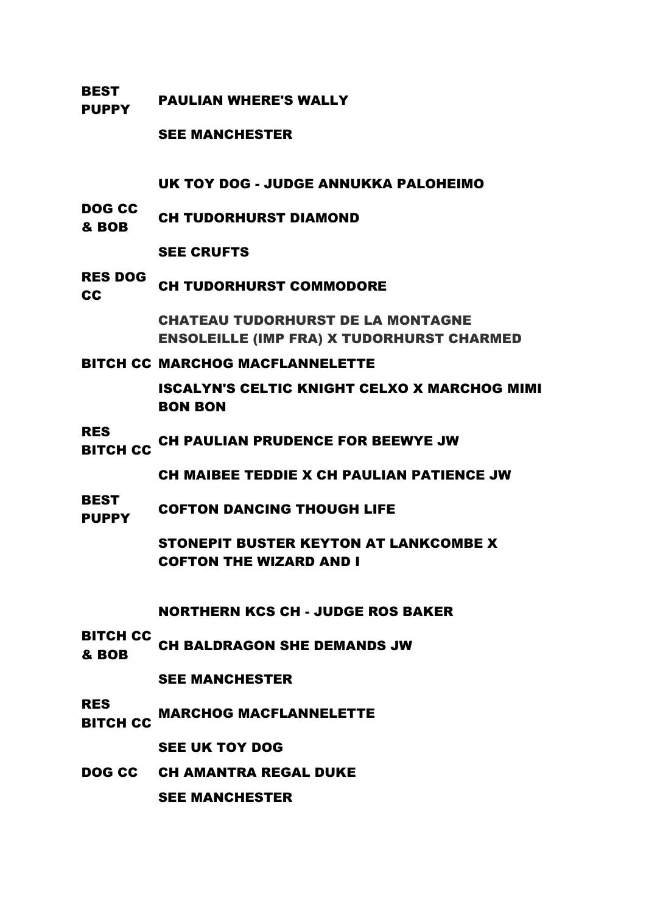BEST PUPPY PAULIAN WHERE'S WALLY

SEE MANCHESTER

UK TOY DOG - JUDGE ANNUKKA PALOHEIMO

DOG CC **EVY CH TUDORHURST DIAMOND**<br>& BOB

#### SEE CRUFTS

# RES DOG **CC** CH TUDORHURST COMMODORE

CHATEAU TUDORHURST DE LA MONTAGNE ENSOLEILLE (IMP FRA) X TUDORHURST CHARMED

#### BITCH CC MARCHOG MACFLANNELETTE

ISCALYN'S CELTIC KNIGHT CELXO X MARCHOG MIMI BON BON

#### RES

..\_\_<br>BITCH CC CH PAULIAN PRUDENCE FOR BEEWYE JW

CH MAIBEE TEDDIE X CH PAULIAN PATIENCE JW

**BEST** PUPPY COFTON DANCING THOUGH LIFE

> STONEPIT BUSTER KEYTON AT LANKCOMBE X COFTON THE WIZARD AND I

### NORTHERN KCS CH - JUDGE ROS BAKER

BITCH CC **EXAMPLE CH BALDRAGON SHE DEMANDS JW**<br>& BOB

### SEE MANCHESTER

RES

..\_<del>\_</del><br>BITCH CC MARCHOG MACFLANNELETTE

### SEE UK TOY DOG

DOG CC CH AMANTRA REGAL DUKE

SEE MANCHESTER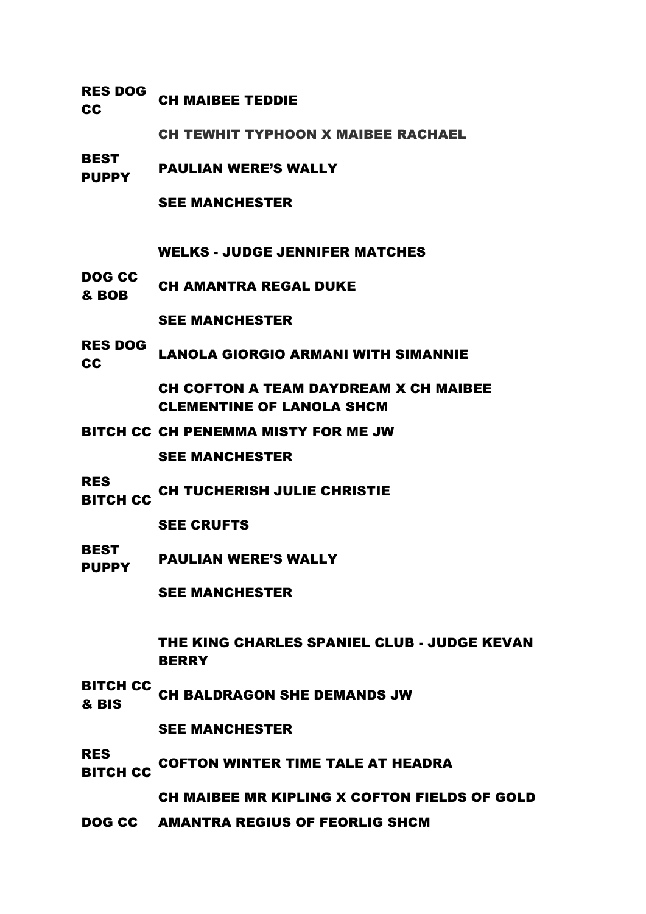### RES DOG CH MAIBEE TEDDIE

CH TEWHIT TYPHOON X MAIBEE RACHAEL

BEST PUPPY PAULIAN WERE'S WALLY

SEE MANCHESTER

WELKS - JUDGE JENNIFER MATCHES

DOG CC **EVELOCE CH AMANTRA REGAL DUKE** 

SEE MANCHESTER

RES DOG **CC LANOLA GIORGIO ARMANI WITH SIMANNIE** 

> CH COFTON A TEAM DAYDREAM X CH MAIBEE CLEMENTINE OF LANOLA SHCM

BITCH CC CH PENEMMA MISTY FOR ME JW

SEE MANCHESTER

RES

..\_\_<br>BITCH CC CH TUCHERISH JULIE CHRISTIE

SEE CRUFTS

BEST PUPPY PAULIAN WERE'S WALLY

SEE MANCHESTER

THE KING CHARLES SPANIEL CLUB - JUDGE KEVAN **BERRY** 

BITCH CC **EXAMPLE CH BALDRAGON SHE DEMANDS JW<br>& BIS** 

SEE MANCHESTER

RES

..\_\_<br>BITCH CC COFTON WINTER TIME TALE AT HEADRA

CH MAIBEE MR KIPLING X COFTON FIELDS OF GOLD

DOG CC AMANTRA REGIUS OF FEORLIG SHCM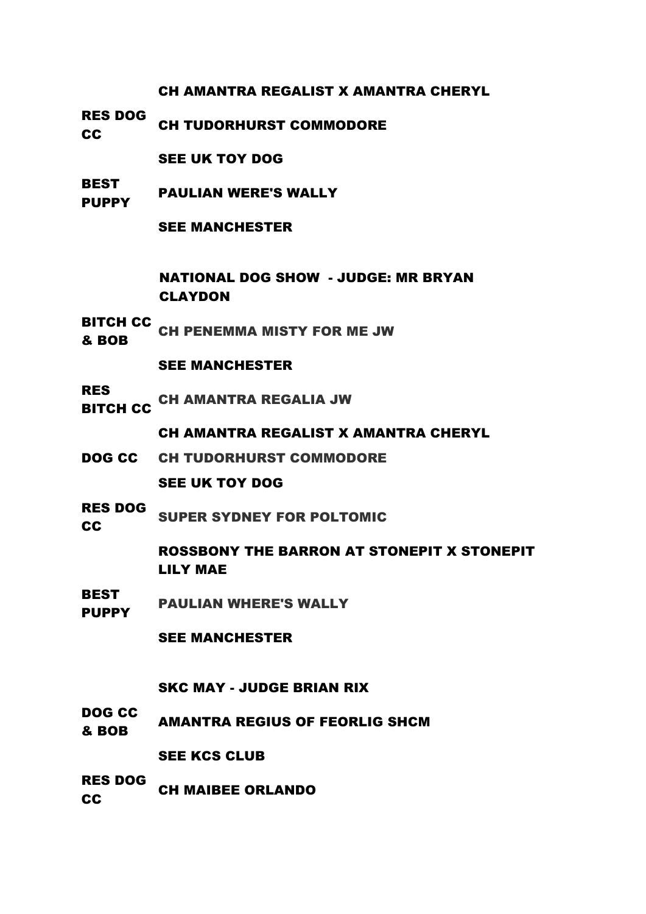CH AMANTRA REGALIST X AMANTRA CHERYL

RES DOG **CC** CH TUDORHURST COMMODORE

SEE UK TOY DOG

**BEST PUPPY** PAULIAN WERE'S WALLY

SEE MANCHESTER

NATIONAL DOG SHOW - JUDGE: MR BRYAN CLAYDON

BITCH CC **EXECUTE CH PENEMMA MISTY FOR ME JW**<br>& BOB

SEE MANCHESTER

RES NLU<br>BITCH CC CH AMANTRA REGALIA JW

CH AMANTRA REGALIST X AMANTRA CHERYL

- DOG CC CH TUDORHURST COMMODORE SEE UK TOY DOG
- RES DOG **CC** SUPER SYDNEY FOR POLTOMIC

ROSSBONY THE BARRON AT STONEPIT X STONEPIT

LILY MAE

BEST PUPPY PAULIAN WHERE'S WALLY

SEE MANCHESTER

# SKC MAY - JUDGE BRIAN RIX

DOG CC **BOB AMANTRA REGIUS OF FEORLIG SHCM** 

SEE KCS CLUB

RES DOG **CONGRESSION CH MAIBEE ORLANDO**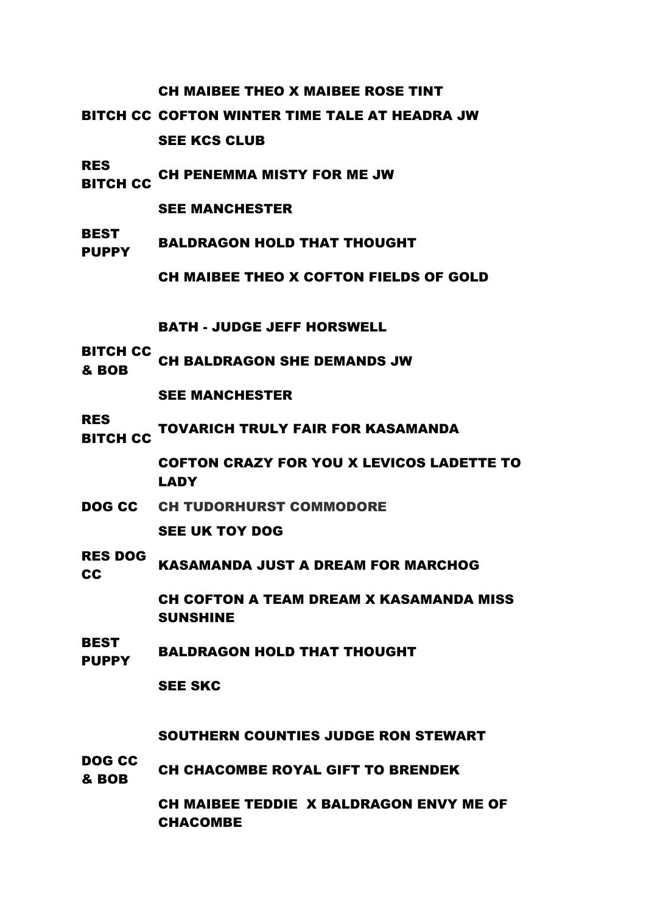#### CH MAIBEE THEO X MAIBEE ROSE TINT

BITCH CC COFTON WINTER TIME TALE AT HEADRA JW SEE KCS CLUB

RES ..\_\_<br>BITCH CC CH PENEMMA MISTY FOR ME JW

SEE MANCHESTER

**BEST** PUPPY BALDRAGON HOLD THAT THOUGHT

CH MAIBEE THEO X COFTON FIELDS OF GOLD

BATH - JUDGE JEFF HORSWELL

- BITCH CC
- **EXAMPLE CH BALDRAGON SHE DEMANDS JW**<br>& BOB

SEE MANCHESTER

RES

..\_\_<br>BITCH CC TOVARICH TRULY FAIR FOR KASAMANDA

COFTON CRAZY FOR YOU X LEVICOS LADETTE TO LADY

DOG CC CH TUDORHURST COMMODORE

SEE UK TOY DOG

RES DOG KASAMANDA JUST A DREAM FOR MARCHOG

> CH COFTON A TEAM DREAM X KASAMANDA MISS SUNSHINE

BEST PLOT BALDRAGON HOLD THAT THOUGHT

SEE SKC

SOUTHERN COUNTIES JUDGE RON STEWART

DOG CC **EVELOCE CH CHACOMBE ROYAL GIFT TO BRENDEK** 

> CH MAIBEE TEDDIE X BALDRAGON ENVY ME OF CHACOMBE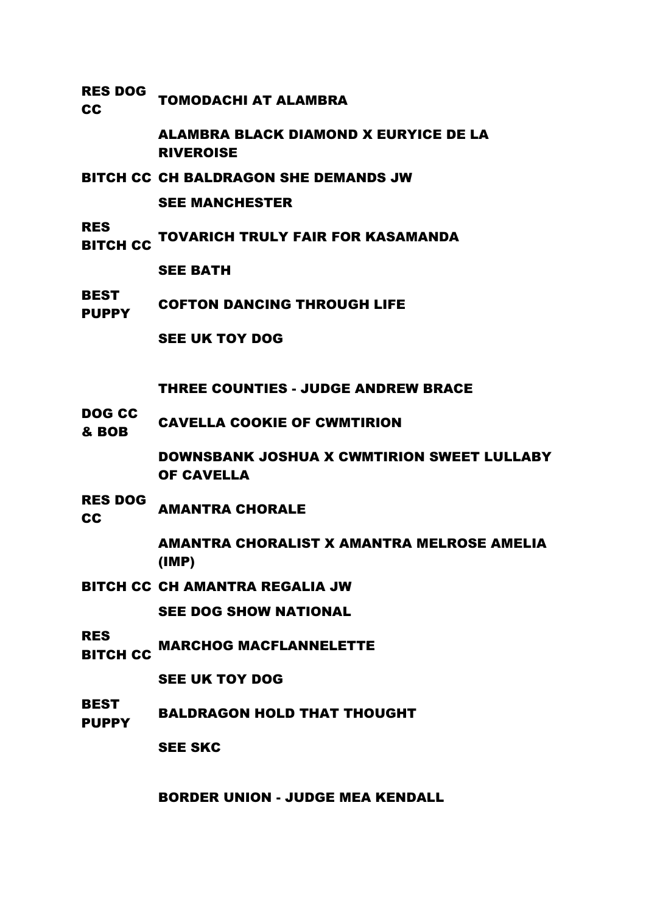RES DOG RES DUG TOMODACHI AT ALAMBRA

> ALAMBRA BLACK DIAMOND X EURYICE DE LA RIVEROISE

BITCH CC CH BALDRAGON SHE DEMANDS JW

SEE MANCHESTER

RES

NLS<br>BITCH CC TOVARICH TRULY FAIR FOR KASAMANDA

SEE BATH

BEST **PUPPY** COFTON DANCING THROUGH LIFE

SEE UK TOY DOG

THREE COUNTIES - JUDGE ANDREW BRACE

DOG CC **BOB CAVELLA COOKIE OF CWMTIRION** 

> DOWNSBANK JOSHUA X CWMTIRION SWEET LULLABY OF CAVELLA

RES DOG **CC** AMANTRA CHORALE

> AMANTRA CHORALIST X AMANTRA MELROSE AMELIA (IMP)

BITCH CC CH AMANTRA REGALIA JW

SEE DOG SHOW NATIONAL

RES ..\_\_<br>BITCH CC MARCHOG MACFLANNELETTE

SEE UK TOY DOG

BEST PUPPY BALDRAGON HOLD THAT THOUGHT

SEE SKC

BORDER UNION - JUDGE MEA KENDALL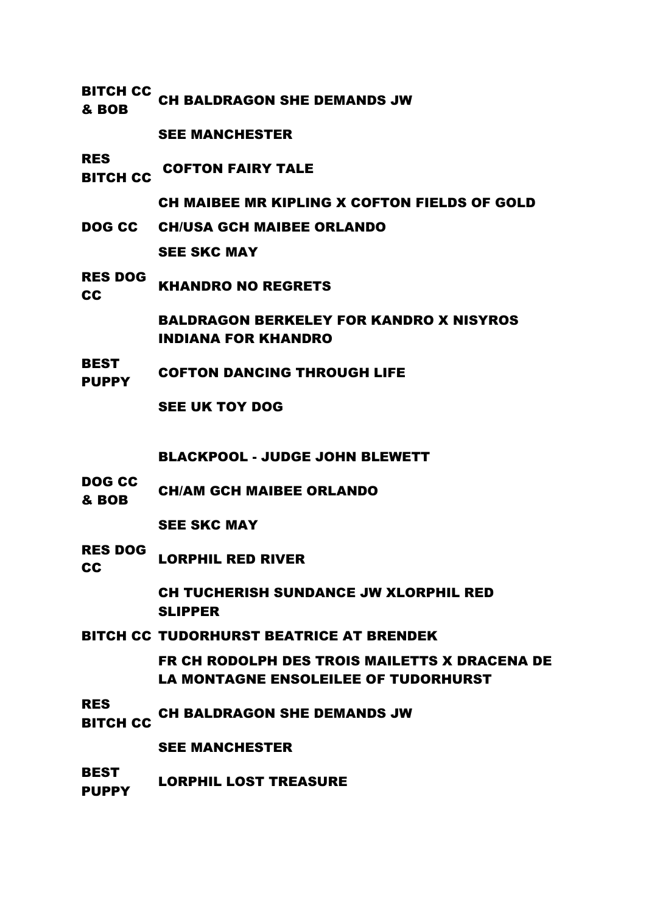BITCH CC **EXAMPLE CH BALDRAGON SHE DEMANDS JW**<br>& BOB SEE MANCHESTER RES .....<br>BITCH CC COFTON FAIRY TALE CH MAIBEE MR KIPLING X COFTON FIELDS OF GOLD DOG CC CH/USA GCH MAIBEE ORLANDO SEE SKC MAY RES DOG **CC** KHANDRO NO REGRETS BALDRAGON BERKELEY FOR KANDRO X NISYROS INDIANA FOR KHANDRO **BEST** PUPPY COFTON DANCING THROUGH LIFE SEE UK TOY DOG BLACKPOOL - JUDGE JOHN BLEWETT DOG CC **EXECUTE:** CH/AM GCH MAIBEE ORLANDO SEE SKC MAY RES DOG **CC** LORPHIL RED RIVER CH TUCHERISH SUNDANCE JW XLORPHIL RED SLIPPER BITCH CC TUDORHURST BEATRICE AT BRENDEK FR CH RODOLPH DES TROIS MAILETTS X DRACENA DE LA MONTAGNE ENSOLEILEE OF TUDORHURST RES ..\_\_<br>BITCH CC CH BALDRAGON SHE DEMANDS JW SEE MANCHESTER BEST PUPPY LORPHIL LOST TREASURE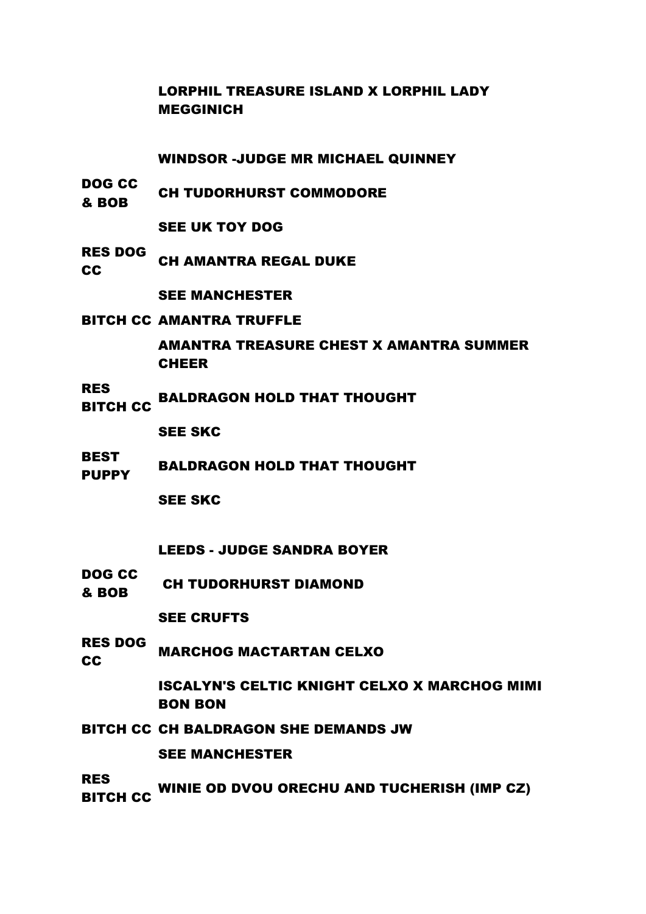LORPHIL TREASURE ISLAND X LORPHIL LADY MEGGINICH

WINDSOR -JUDGE MR MICHAEL QUINNEY

DOG CC **BOB** CH TUDORHURST COMMODORE

SEE UK TOY DOG

RES DOG **CC** CH AMANTRA REGAL DUKE

SEE MANCHESTER

BITCH CC AMANTRA TRUFFLE

AMANTRA TREASURE CHEST X AMANTRA SUMMER CHEER

- RES<br>BITCH CC
	- BALDRAGON HOLD THAT THOUGHT

SEE SKC

BEST PUPPY BALDRAGON HOLD THAT THOUGHT

SEE SKC

### LEEDS - JUDGE SANDRA BOYER

DOG CC **BOB** CH TUDORHURST DIAMOND

SEE CRUFTS

RES DOG RES DUCTMARCHOG MACTARTAN CELXO

> ISCALYN'S CELTIC KNIGHT CELXO X MARCHOG MIMI BON BON

BITCH CC CH BALDRAGON SHE DEMANDS JW

SEE MANCHESTER

RES

..\_\_<br>BITCH CC WINIE OD DVOU ORECHU AND TUCHERISH (IMP CZ)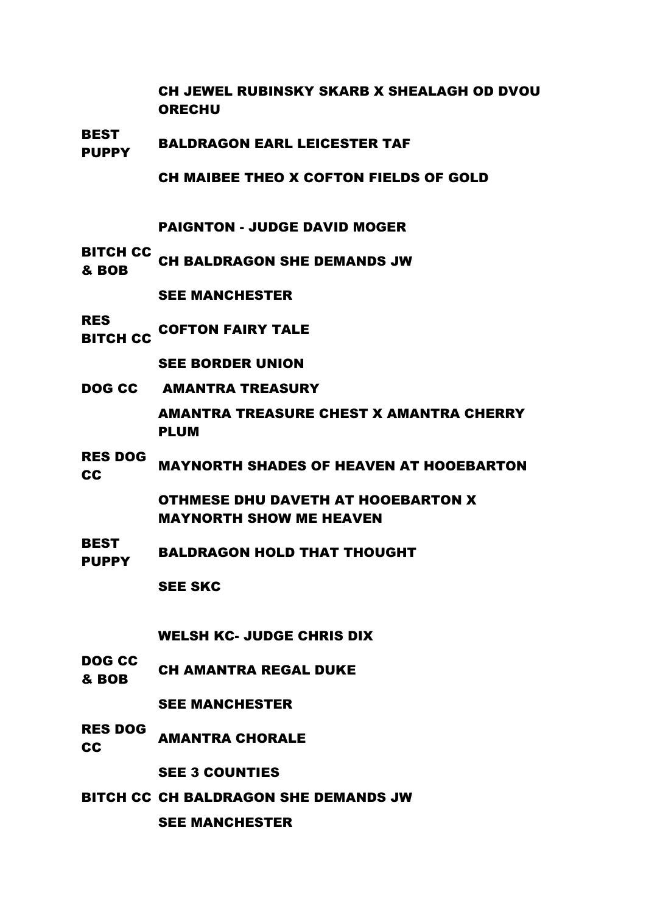CH JEWEL RUBINSKY SKARB X SHEALAGH OD DVOU **ORECHU** 

BEST PUPPY BALDRAGON EARL LEICESTER TAF

CH MAIBEE THEO X COFTON FIELDS OF GOLD

PAIGNTON - JUDGE DAVID MOGER

BITCH CC **EXAMPLE CH BALDRAGON SHE DEMANDS JW**<br>& BOB

SEE MANCHESTER

RES .....<br>BITCH CC COFTON FAIRY TALE

SEE BORDER UNION

DOG CC AMANTRA TREASURY

AMANTRA TREASURE CHEST X AMANTRA CHERRY PLUM

RES DOG RES BOOM MAYNORTH SHADES OF HEAVEN AT HOOEBARTON

> OTHMESE DHU DAVETH AT HOOEBARTON X MAYNORTH SHOW ME HEAVEN

**BEST** PLOT BALDRAGON HOLD THAT THOUGHT

SEE SKC

WELSH KC- JUDGE CHRIS DIX

DOG CC **BOB** CH AMANTRA REGAL DUKE

SEE MANCHESTER

RES DOG **CC AMANTRA CHORALE** 

SEE 3 COUNTIES

BITCH CC CH BALDRAGON SHE DEMANDS JW

SEE MANCHESTER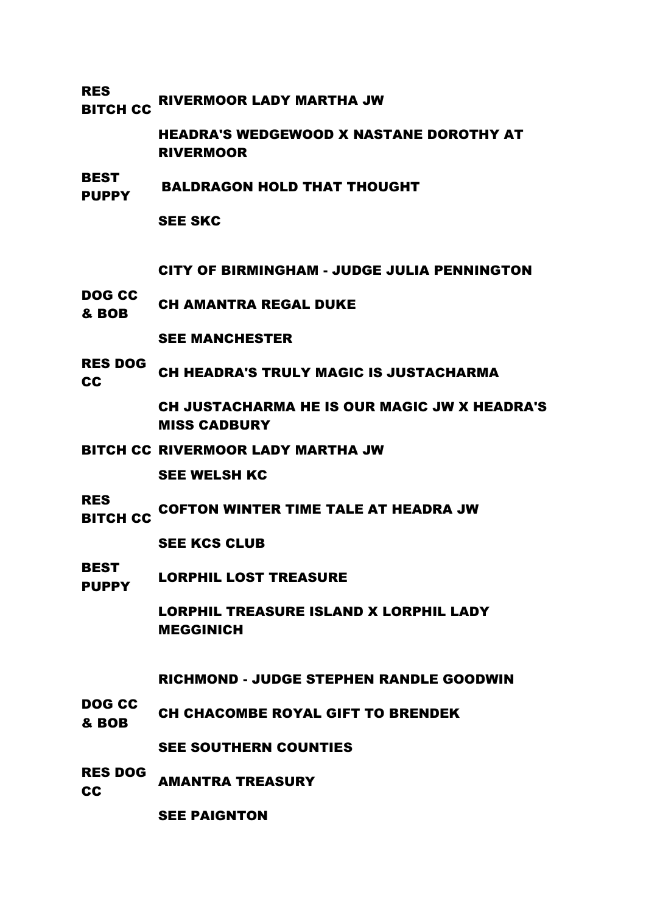## RES ..\_\_<br>BITCH CC RIVERMOOR LADY MARTHA JW

HEADRA'S WEDGEWOOD X NASTANE DOROTHY AT RIVERMOOR

#### **BEST** PUPPY BALDRAGON HOLD THAT THOUGHT

SEE SKC

CITY OF BIRMINGHAM - JUDGE JULIA PENNINGTON

DOG CC **BOB** CH AMANTRA REGAL DUKE

SEE MANCHESTER

RES DOG THE DUCK CH HEADRA'S TRULY MAGIC IS JUSTACHARMA

> CH JUSTACHARMA HE IS OUR MAGIC JW X HEADRA'S MISS CADBURY

BITCH CC RIVERMOOR LADY MARTHA JW

SEE WELSH KC

RES

BITCH CC COFTON WINTER TIME TALE AT HEADRA JW

SEE KCS CLUB

BEST PLOT LORPHIL LOST TREASURE

> LORPHIL TREASURE ISLAND X LORPHIL LADY MEGGINICH

RICHMOND - JUDGE STEPHEN RANDLE GOODWIN

DOG CC **EVELOCE CH CHACOMBE ROYAL GIFT TO BRENDEK** 

SEE SOUTHERN COUNTIES

RES DOG **CC** AMANTRA TREASURY

SEE PAIGNTON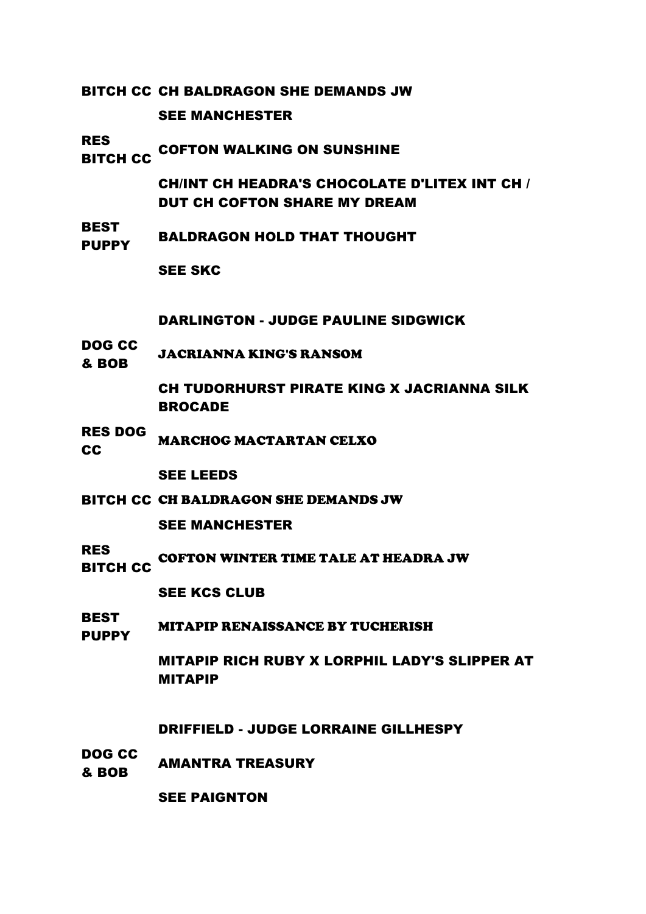BITCH CC CH BALDRAGON SHE DEMANDS JW

SEE MANCHESTER

RES

**COFTON WALKING ON SUNSHINE**<br>BITCH CC

CH/INT CH HEADRA'S CHOCOLATE D'LITEX INT CH / DUT CH COFTON SHARE MY DREAM

BEST PUPPY BALDRAGON HOLD THAT THOUGHT

SEE SKC

DARLINGTON - JUDGE PAULINE SIDGWICK

DOG CC & BOB JACRIANNA KING'S RANSOM

> CH TUDORHURST PIRATE KING X JACRIANNA SILK BROCADE

RES DOG **CC** MARCHOG MACTARTAN CELXO

SEE LEEDS

BITCH CC CH BALDRAGON SHE DEMANDS JW

SEE MANCHESTER

- RES COFTON WINTER TIME TALE AT HEADRA JW
- BITCH CC

SEE KCS CLUB

BEST **PUPPY** MITAPIP RENAISSANCE BY TUCHERISH

> MITAPIP RICH RUBY X LORPHIL LADY'S SLIPPER AT MITAPIP

DRIFFIELD - JUDGE LORRAINE GILLHESPY

DOG CC **& BOB** AMANTRA TREASURY

SEE PAIGNTON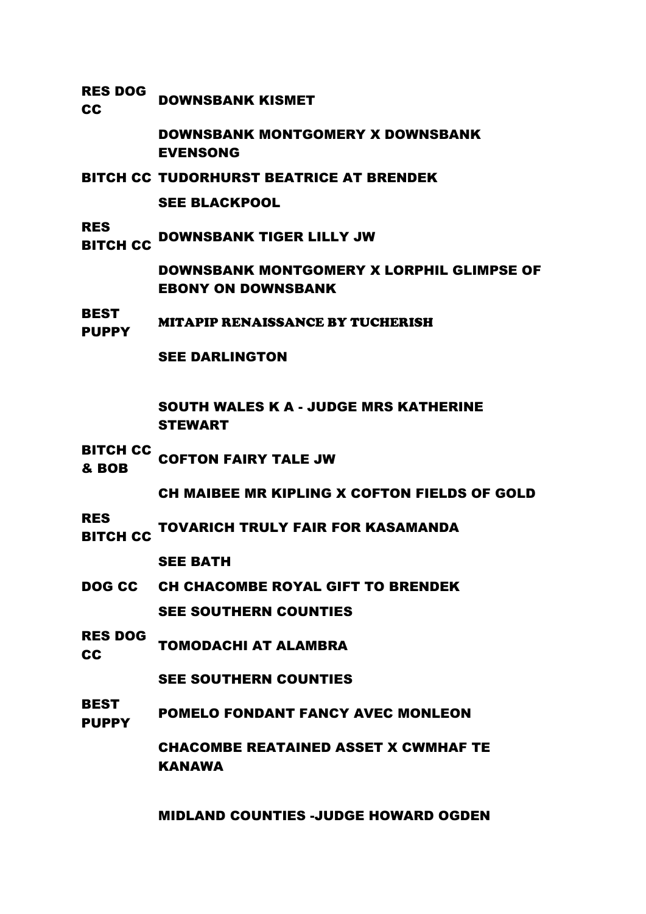RES DOG **CC** DOWNSBANK KISMET

> DOWNSBANK MONTGOMERY X DOWNSBANK EVENSONG

BITCH CC TUDORHURST BEATRICE AT BRENDEK

SEE BLACKPOOL

RES<br>BITCH CC **DOWNSBANK TIGER LILLY JW** 

> DOWNSBANK MONTGOMERY X LORPHIL GLIMPSE OF EBONY ON DOWNSBANK

BEST PUPPY MITAPIP RENAISSANCE BY TUCHERISH

SEE DARLINGTON

SOUTH WALES K A - JUDGE MRS KATHERINE STEWART

BITCH CC **EXAMPLE COFTON FAIRY TALE JW**<br>& BOB

CH MAIBEE MR KIPLING X COFTON FIELDS OF GOLD

RES

NEST TOVARICH TRULY FAIR FOR KASAMANDA

SEE BATH

- DOG CC CH CHACOMBE ROYAL GIFT TO BRENDEK SEE SOUTHERN COUNTIES
- RES DOG RES BUCK TOMODACHI AT ALAMBRA

SEE SOUTHERN COUNTIES

**BEST** PUPPY POMELO FONDANT FANCY AVEC MONLEON

> CHACOMBE REATAINED ASSET X CWMHAF TE KANAWA

> MIDLAND COUNTIES -JUDGE HOWARD OGDEN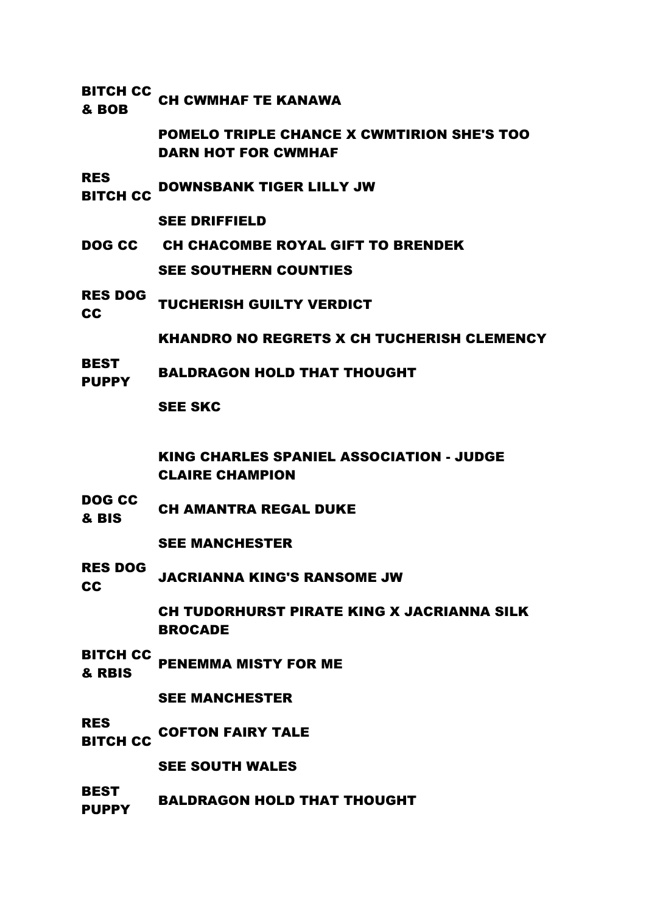| <b>BITCH CC</b><br>& BOB      | <b>CH CWMHAF TE KANAWA</b>                                                      |
|-------------------------------|---------------------------------------------------------------------------------|
|                               | <b>POMELO TRIPLE CHANCE X CWMTIRION SHE'S TOO</b><br><b>DARN HOT FOR CWMHAF</b> |
| <b>RES</b><br><b>BITCH CC</b> | <b>DOWNSBANK TIGER LILLY JW</b>                                                 |
|                               | <b>SEE DRIFFIELD</b>                                                            |
|                               | DOG CC CH CHACOMBE ROYAL GIFT TO BRENDEK                                        |
|                               | <b>SEE SOUTHERN COUNTIES</b>                                                    |
| <b>RES DOG</b><br><b>CC</b>   | <b>TUCHERISH GUILTY VERDICT</b>                                                 |
|                               | <b>KHANDRO NO REGRETS X CH TUCHERISH CLEMENCY</b>                               |
| <b>BEST</b><br><b>PUPPY</b>   | <b>BALDRAGON HOLD THAT THOUGHT</b>                                              |
|                               | <b>SEE SKC</b>                                                                  |
|                               | <b>KING CHARLES SPANIEL ASSOCIATION - JUDGE</b><br><b>CLAIRE CHAMPION</b>       |
| <b>DOG CC</b><br>& BIS        | <b>CH AMANTRA REGAL DUKE</b>                                                    |
|                               | <b>SEE MANCHESTER</b>                                                           |
| <b>RES DOG</b><br><b>CC</b>   | <b>JACRIANNA KING'S RANSOME JW</b>                                              |
|                               | <b>CH TUDORHURST PIRATE KING X JACRIANNA SILK</b><br><b>BROCADE</b>             |
| <b>BITCH CC</b><br>& RBIS     | <b>PENEMMA MISTY FOR ME</b>                                                     |
|                               | <b>SEE MANCHESTER</b>                                                           |
| <b>RES</b><br><b>BITCH CC</b> | <b>COFTON FAIRY TALE</b>                                                        |
|                               | <b>SEE SOUTH WALES</b>                                                          |
| <b>BEST</b><br><b>PUPPY</b>   | <b>BALDRAGON HOLD THAT THOUGHT</b>                                              |